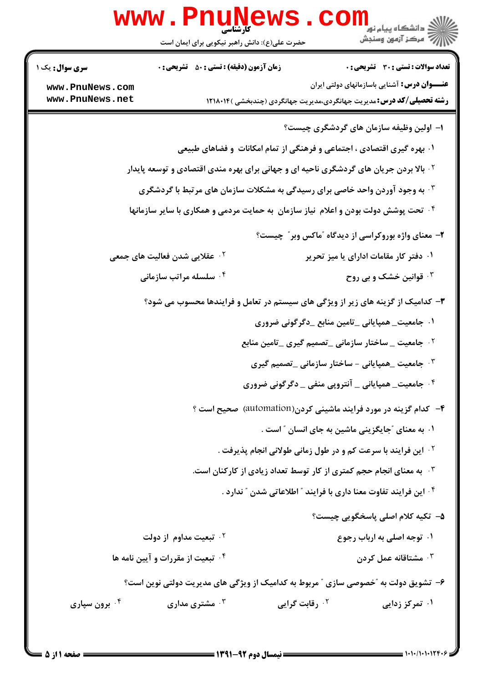| W W W                                                        | کارشناسی<br>حضرت علی(ع): دانش راهبر نیکویی برای ایمان است                     | ≧ دانشگاه پيام نو <mark>ر</mark><br>7' مرڪز آزمون وسنڊش                                                                                                                                                                                                                                                                                                  |
|--------------------------------------------------------------|-------------------------------------------------------------------------------|----------------------------------------------------------------------------------------------------------------------------------------------------------------------------------------------------------------------------------------------------------------------------------------------------------------------------------------------------------|
| <b>سری سوال :</b> یک ۱<br>www.PnuNews.com<br>www.PnuNews.net | <b>زمان آزمون (دقیقه) : تستی : 50 ٪ تشریحی : 0</b>                            | <b>تعداد سوالات : تستی : 30 ٪ تشریحی : 0</b><br><b>عنــــوان درس:</b> آشنایی باسازمانهای دولتی ایران<br><b>رشته تحصیلی/کد درس:</b> مدیریت جهانگردی،مدیریت جهانگردی (چندبخشی )۱۲۱۸۰۱۴                                                                                                                                                                     |
|                                                              |                                                                               | ۱– اولین وظیفه سازمان های گردشگری چیست؟<br>۰۱ بهره گیری اقتصادی ، اجتماعی و فرهنگی از تمام امکانات ًو فضاهای طبیعی<br><sup>۲ .</sup> بالا بردن جریان های گردشگری ناحیه ای و جهانی برای بهره مندی اقتصادی و توسعه پایدار<br><b>۳ . به وجود آوردن واحد خاصی برای رسیدگی به مشکلات سازمان های مرتبط با گردشگری</b>                                          |
|                                                              |                                                                               | ۰۴ تحت پوشش دولت بودن و اعلام  نیاز سازمان  به حمایت مردمی و همکاری با سایر سازمانها $\cdot$ ۴<br>۲- معنای واژه بوروکراسی از دیدگاه "ماکس وبر" چیست؟                                                                                                                                                                                                     |
|                                                              | <sup>۲ .</sup> عقلایی شدن فعالیت های جمعی<br>۰۴ سلسله مراتب سازمانی           | ۰۱ دفتر کار مقامات ادارای یا میز تحریر<br>۰ <sup>۳</sup> قوانین خشک و بی روح                                                                                                                                                                                                                                                                             |
|                                                              |                                                                               | ۳- کدامیک از گزینه های زیر از ویژگی های سیستم در تعامل و فرایندها محسوب می شود؟<br>۰۱ جامعیت_ همپایانی _تامین منابع _دگرگونی ضروری<br><sup>۲ .</sup> جامعیت _ ساختار سازمانی _تصمیم گیری _تامین منابع<br>جامعیت _همپایانی - ساختار سازمانی _تصمیم گیری * ·<br><sup>۴</sup> ۰ جامعیت_ همپایانی _ آنتروپی منفی _ دگرگونی ضروری                             |
|                                                              |                                                                               | ۴- کدام گزینه در مورد فرایند ماشینی کردن(automation) صحیح است ؟<br>۰۱ به معنای ″جایگزینی ماشین به جای انسان ″ است .<br><sup>7</sup> ·  این فرایند با سرعت کم و در طول زمانی طولانی انجام پذیرفت .<br>۰ <sup>۳</sup> به معنای انجام حجم کمتری از کار توسط تعداد زیادی از کارکنان است.<br>۰۴ این فرایند تفاوت معنا داری با فرایند ″ اطلاعاتی شدن ″ ندارد . |
|                                                              | ۰ <sup>۲</sup> تبعیت مداوم از دولت<br><b>۴ قبعیت از مقررات و آیین نامه ها</b> | ۵– تکیه کلام اصلی پاسخگویی چیست؟<br>۰۱ توجه اصلی به ارباب رجوع<br>شتاقانه عمل کردن $\cdot^{\mathsf{v}}$<br>۶- تشویق دولت به "خصوصی سازی " مربوط به کدامیک از ویژگی های مدیریت دولتی نوین است؟                                                                                                                                                            |
| ۰ <sup>۴</sup> برون سپاری                                    | شتری مداری $\cdot^{\mathsf{r}}$                                               | ۰۱ تمرکز زدایی<br>۰ <sup>۲</sup> رقابت گرایی                                                                                                                                                                                                                                                                                                             |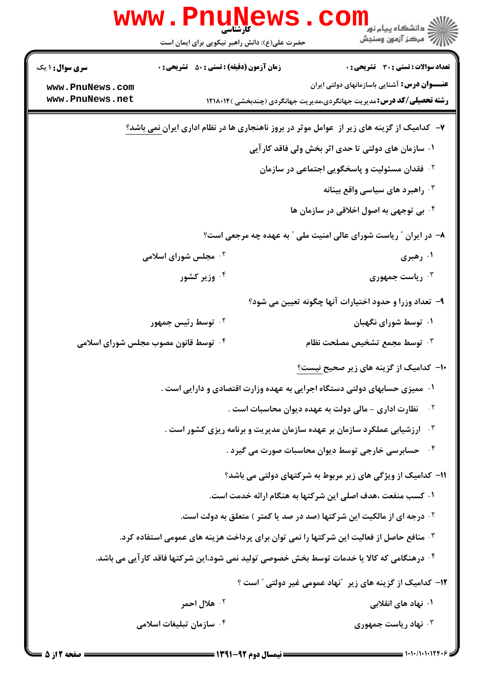|                                    | <b>www.Pnun</b><br>کارشناسی<br>حضرت علی(ع): دانش راهبر نیکویی برای ایمان است                        | ڪ دانشڪاه پيا <sub>م</sub> نور<br><mark>√</mark> مرڪز آزمون وسنڊش                                                                   |
|------------------------------------|-----------------------------------------------------------------------------------------------------|-------------------------------------------------------------------------------------------------------------------------------------|
| <b>سری سوال :</b> ۱ یک             | <b>زمان آزمون (دقیقه) : تستی : 50 ٪ تشریحی : 0</b>                                                  | تعداد سوالات : تستي : 30 ٪ تشريحي : 0                                                                                               |
| www.PnuNews.com<br>www.PnuNews.net |                                                                                                     | <b>عنـــوان درس:</b> آشنایی باسازمانهای دولتی ایران<br><b>رشته تحصیلی/کد درس:</b> مدیریت جهانگردی،مدیریت جهانگردی (چندبخشی )۱۲۱۸۰۱۴ |
|                                    |                                                                                                     | ۷- کدامیک از گزینه های زیر از عوامل موثر در بروز ناهنجاری ها در نظام اداری ایرا <u>ن نمی</u> باشد؟                                  |
|                                    |                                                                                                     | ۰۱ سازمان های دولتی تا حدی اثر بخش ولی فاقد کار آیی                                                                                 |
|                                    |                                                                                                     | <sup>۲ .</sup> فقدان مسئولیت و پاسخگویی اجتماعی در سازمان                                                                           |
|                                    |                                                                                                     | ۰۳ راهبرد های سیاسی واقع بینانه                                                                                                     |
|                                    |                                                                                                     | ۰۴ بی توجهی به اصول اخلاقی در سازمان ها                                                                                             |
|                                    |                                                                                                     | ۸- در ایران ″ ریاست شورای عالی امنیت ملی ″ به عهده چه مرجعی است؟                                                                    |
|                                    | <b>۰۲ مجلس شورای اسلامی</b>                                                                         | ۰۱ رهبری                                                                                                                            |
|                                    | ۰۴ وزیر کشور                                                                                        | ۰۳ ریاست جمهوری                                                                                                                     |
|                                    |                                                                                                     | ۹–  تعداد وزرا و حدود اختیارات آنها چگونه تعیین می شود؟                                                                             |
|                                    | ۰ <sup>۲</sup> توسط رئیس جمهور                                                                      | ۰۱ توسط شورای نگهبان                                                                                                                |
|                                    | ۰۴ توسط قانون مصوب مجلس شورای اسلامی                                                                | وسط مجمع تشخيص مصلحت نظام $\cdot^{\mathrm{v}}$                                                                                      |
|                                    |                                                                                                     | ۱۰– کدامیک از گزینه های زیر صحیح نیست؟                                                                                              |
|                                    |                                                                                                     | ۰۱ ممیزی حسابهای دولتی دستگاه اجرایی به عهده وزارت اقتصادی و دارایی است .                                                           |
|                                    |                                                                                                     | نظارت اداری - مالی دولت به عهده دیوان محاسبات است .<br>$\cdot$ $\mathsf{r}$                                                         |
|                                    |                                                                                                     | $\cdot$ $\mathsf{r}$<br>ارزشیابی عملکرد سازمان بر عهده سازمان مدیریت و برنامه ریزی کشور است .                                       |
|                                    |                                                                                                     | $\cdot$ ۴<br>حسابرسی خارجی توسط دیوان محاسبات صورت می گیرد .                                                                        |
|                                    |                                                                                                     | 11- کدامیک از ویژگی های زیر مربوط به شرکتهای دولتی می باشد؟                                                                         |
|                                    |                                                                                                     | ۰۱ کسب منفعت ،هدف اصلی این شرکتها به هنگام ارائه خدمت است.                                                                          |
|                                    |                                                                                                     | <sup>۲</sup> ۰ درجه ای از مالکیت این شرکتها (صد در صد یا کمتر ) متعلق به دولت است.                                                  |
|                                    | ۰ <sup>۳</sup> منافع حاصل از فعالیت این شرکتها را نمی توان برای پرداخت هزینه های عمومی استفاده کرد. |                                                                                                                                     |
|                                    | ۰۴ درهنگامی که کالا یا خدمات توسط بخش خصوصی تولید نمی شود،این شرکتها فاقد کار آیی می باشد.          |                                                                                                                                     |
|                                    |                                                                                                     | ۱۲– کدامیک از گزینه های زیر ″نهاد عمومی غیر دولتی ″ است ؟                                                                           |
|                                    | ۰ <sup>۲</sup> هلال احمر                                                                            | ۰۱ نهاد های انقلابی                                                                                                                 |
|                                    | ۰ <sup>۴</sup> سازمان تبلیغات اسلامی                                                                | <b>۰۳ نهاد ریاست جمهوری</b>                                                                                                         |
|                                    |                                                                                                     |                                                                                                                                     |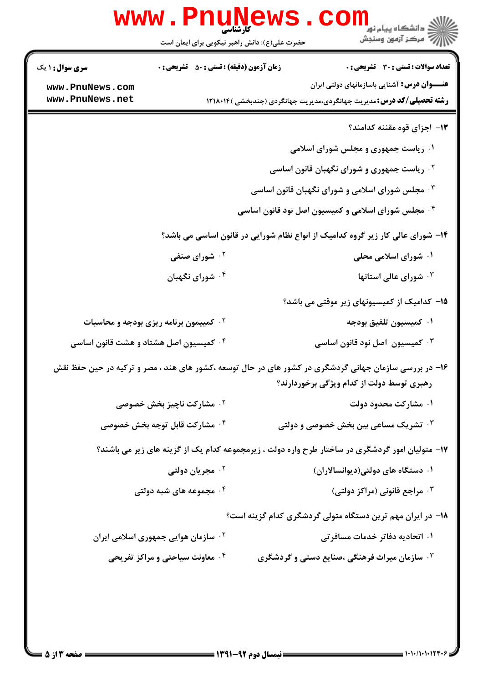| W W W                                  | ا پایا<br>کارشناسی<br>حضرت علی(ع): دانش راهبر نیکویی برای ایمان است | ≦ دانشڪاه پيام نور<br>7- مرڪز آزمون وسنڊش                                                             |
|----------------------------------------|---------------------------------------------------------------------|-------------------------------------------------------------------------------------------------------|
| <b>سری سوال : ۱ یک</b>                 | <b>زمان آزمون (دقیقه) : تستی : 50 ٪ تشریحی : 0</b>                  | تعداد سوالات : تستى : 30 - تشريحي : 0                                                                 |
| www.PnuNews.com                        |                                                                     | <b>عنــــوان درس:</b> آشنایی باسازمانهای دولتی ایران                                                  |
| www.PnuNews.net                        |                                                                     | <b>رشته تحصیلی/کد درس:</b> مدیریت جهانگردی،مدیریت جهانگردی (چندبخشی )۱۲۱۸۰۱۴                          |
|                                        |                                                                     | ۱۳– اجزای قوه مقننه کدامند؟                                                                           |
|                                        |                                                                     | ۰۱ ریاست جمهوری و مجلس شورای اسلامی                                                                   |
|                                        |                                                                     | <sup>۰۲</sup> ریاست جمهوری و شورای نگهبان قانون اساسی                                                 |
|                                        |                                                                     | <b>۰۳ مجلس شورای اسلامی و شورای نگهبان قانون اساسی</b>                                                |
|                                        |                                                                     | ۰۴ مجلس شورای اسلامی و کمیسیون اصل نود قانون اساسی                                                    |
|                                        |                                                                     | ۱۴- شورای عالی کار زیر گروه کدامیک از انواع نظام شورایی در قانون اساسی می باشد؟                       |
|                                        | <sup>۲</sup> ۰ شورای صنفی                                           | ۰۱ شورای اسلامی محلی                                                                                  |
|                                        | ۰۴ شورای نگهبان                                                     | ۰ <sup>۳</sup> شورای عالی استانها                                                                     |
|                                        |                                                                     | ۱۵– کدامیک از کمیسیونهای زیر موقتی می باشد؟                                                           |
|                                        | <b>گ کمییمون برنامه ریزی بودجه و محاسبات</b>                        | ٠١ كميسيون تلفيق بودجه                                                                                |
| ۰۴ کمیسیون اصل هشتاد و هشت قانون اساسی |                                                                     | ۰۳ کمیسیون اصل نود قانون اساسی $\cdot$                                                                |
|                                        |                                                                     | ۱۶– در بررسی سازمان جهانی گردشگری در کشور های در حال توسعه ،کشور های هند ، مصر و ترکیه در حین حفظ نقش |
|                                        |                                                                     | رهبری توسط دولت از کدام ویژگی برخوردارند؟                                                             |
|                                        | <b>7 . مشاركت ناچيز بخش خصوصي</b>                                   | ۰۱ مشارکت محدود دولت                                                                                  |
|                                        | ۰۴ مشارکت قابل توجه بخش خصوصی                                       | ۰ <sup>۳ ت</sup> شریک مساعی بین بخش خصوصی و دولتی                                                     |
|                                        |                                                                     | ۱۷- متولیان امور گردشگری در ساختار طرح واره دولت ، زیرمجموعه کدام یک از گزینه های زیر می باشند؟       |
|                                        | ۰ <sup>۲</sup> مجریان دولتی                                         | ۰۱ دستگاه های دولتی(دیوانسالاران)                                                                     |
|                                        | ۰۴ مجموعه های شبه دولتی                                             | ۰ <sup>۳</sup> مراجع قانونی (مراکز دولتی)                                                             |
|                                        |                                                                     | ۱۸– در ایران مهم ترین دستگاه متولی گردشگری کدام گزینه است؟                                            |
|                                        | ۰ <sup>۲</sup> سازمان هوایی جمهوری اسلامی ایران                     | ۰۱ اتحادیه دفاتر خدمات مسافرت <b>ی</b>                                                                |
|                                        | ۰۴ معاونت سیاحتی و مراکز تفریحی                                     | <b>۳ وسازمان میراث فرهنگی ،صنایع دستی و گردشگری</b> *                                                 |
|                                        |                                                                     |                                                                                                       |
|                                        |                                                                     |                                                                                                       |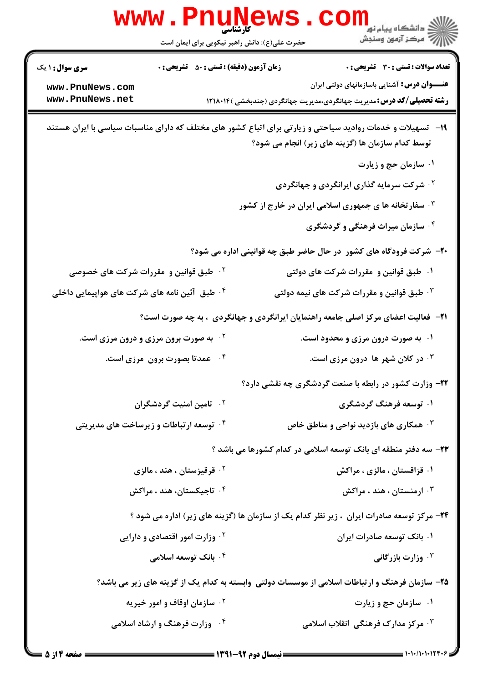|                                                          | حضرت علی(ع): دانش راهبر نیکویی برای ایمان است      | ر دانشڪاه پيام نور "<br> 7- مرکز آزمون وسنڊش                                                                                                                    |
|----------------------------------------------------------|----------------------------------------------------|-----------------------------------------------------------------------------------------------------------------------------------------------------------------|
| <b>سری سوال : ۱ یک</b>                                   | <b>زمان آزمون (دقیقه) : تستی : 50 ٪ تشریحی : 0</b> | <b>تعداد سوالات : تستی : 30 ٪ تشریحی : 0</b>                                                                                                                    |
| www.PnuNews.com<br>www.PnuNews.net                       |                                                    | <b>عنـــوان درس:</b> آشنایی باسازمانهای دولتی ایران<br><b>رشته تحصیلی/کد درس:</b> مدیریت جهانگردی،مدیریت جهانگردی (چندبخشی )۱۲۱۸۰۱۴                             |
|                                                          |                                                    | ۱۹– تسهیلات و خدمات روادید سیاحتی و زیارتی برای اتباع کشور های مختلف که دارای مناسبات سیاسی با ایران هستند<br>توسط کدام سازمان ها (گزینه های زیر) انجام می شود؟ |
|                                                          |                                                    | ۰۱ سازمان حج و زیارت                                                                                                                                            |
|                                                          |                                                    | <sup>۲.</sup> شرکت سرمایه گذاری ایرانگردی و جهانگردی                                                                                                            |
|                                                          |                                                    | ۰۳ سفار تخانه ها ی جمهوری اسلامی ایران در خارج از کشور                                                                                                          |
|                                                          |                                                    | ۰۴ سازمان میراث فرهنگی و گردشگری                                                                                                                                |
|                                                          |                                                    | ۲۰- شرکت فرودگاه های کشور ً در حال حاضر طبق چه قوانینی اداره می شود؟                                                                                            |
| <sup>۲ .</sup> طبق قوانین و مقررات شرکت های خصوصی        |                                                    | ۰۱ طبق قوانین و مقررات شرکت های دولتی                                                                                                                           |
| <sup>۰۴</sup> طبق آئین نامه های شرکت های هواپیمایی داخلی |                                                    | ۰۳ طبق قوانین و مقررات شرکت های نیمه دولتی                                                                                                                      |
|                                                          |                                                    | <b>۲۱</b> - فعالیت اعضای مرکز اصلی جامعه راهنمایان ایرانگردی و جهانگردی ، به چه صورت است؟                                                                       |
| به صورت برون مرزی و درون مرزی است.                       |                                                    | ۰۱ به صورت درون مرزی و محدود است.                                                                                                                               |
|                                                          | ۰۴ عمدتا بصورت برون ًمرزی است.                     | ۰۳ در کلان شهر ها درون مرزی است.                                                                                                                                |
|                                                          |                                                    | ۲۲- وزارت کشور در رابطه با صنعت گردشگری چه نقشی دارد؟                                                                                                           |
|                                                          | ۰۲ تامین امنیت گردشگران                            | ۰۱ توسعه فرهنگ گردشگری                                                                                                                                          |
|                                                          | ۰۴ توسعه ارتباطات و زیرساخت های مدیریتی            | همکاری های بازدید نواحی و مناطق خاص $\cdot^{\texttt{w}}$                                                                                                        |
|                                                          |                                                    | ۲۳- سه دفتر منطقه ای بانک توسعه اسلامی در کدام کشورها می باشد ؟                                                                                                 |
|                                                          | <sup>۲ .</sup> قرقیزستان ، هند ، مالزی             | ۰۱ قزاقستان ، مالزی ، مراکش                                                                                                                                     |
|                                                          | ۰ <sup>۴</sup> تاجیکستان، هند ، مراکش              | ارمنستان ، هند ، مراکش $\cdot$                                                                                                                                  |
|                                                          |                                                    | <b>۲۴</b> - مرکز توسعه صادرات ایران  ، زیر نظر کدام یک از سازمان ها (گزینه های زیر) اداره می شود ؟                                                              |
|                                                          | <sup>۲ .</sup> وزارت امور اقتصادی و دارایی         | ۰۱ بانک توسعه صادرات ایران                                                                                                                                      |
|                                                          | ۰۴ بانک توسعه اسلامی                               | ۰ <sup>۳</sup> وزارت بازرگانی                                                                                                                                   |
|                                                          |                                                    | ۲۵– سازمان فرهنگ و ارتباطات اسلامی از موسسات دولتی وابسته به کدام یک از گزینه های زیر می باشد؟                                                                  |
|                                                          | <b>گ سازمان اوقاف و امور خیریه</b>                 | ۰۱ سازمان حج و زیارت                                                                                                                                            |
|                                                          | ۰۴ وزارت فرهنگ و ارشاد اسلامی                      | ۰ <sup>۳</sup> مرکز مدارک فرهنگی انقلاب اسلامی                                                                                                                  |
|                                                          |                                                    |                                                                                                                                                                 |